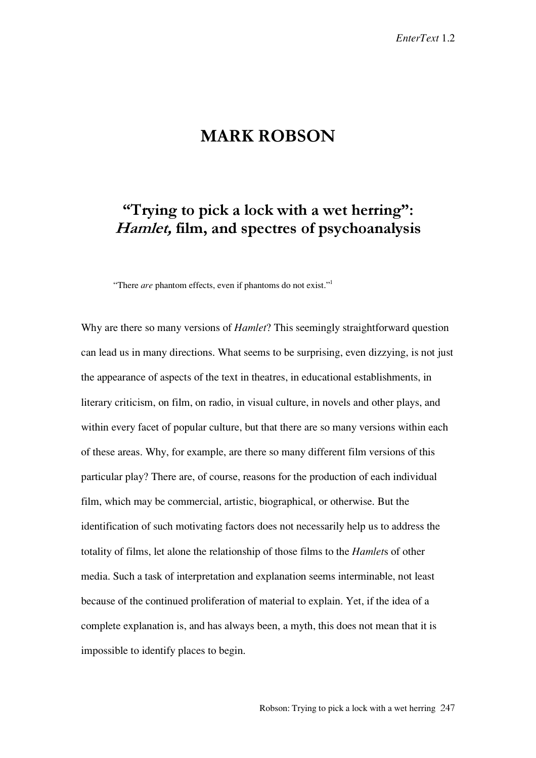# **MARK ROBSON**

# "Trying to pick a lock with a wet herring": Hamlet, film, and spectres of psychoanalysis

"There *are* phantom effects, even if phantoms do not exist."<sup>1</sup>

Why are there so many versions of *Hamlet*? This seemingly straightforward question can lead us in many directions. What seems to be surprising, even dizzying, is not just the appearance of aspects of the text in theatres, in educational establishments, in literary criticism, on film, on radio, in visual culture, in novels and other plays, and within every facet of popular culture, but that there are so many versions within each of these areas. Why, for example, are there so many different film versions of this particular play? There are, of course, reasons for the production of each individual film, which may be commercial, artistic, biographical, or otherwise. But the identification of such motivating factors does not necessarily help us to address the totality of films, let alone the relationship of those films to the *Hamlet*s of other media. Such a task of interpretation and explanation seems interminable, not least because of the continued proliferation of material to explain. Yet, if the idea of a complete explanation is, and has always been, a myth, this does not mean that it is impossible to identify places to begin.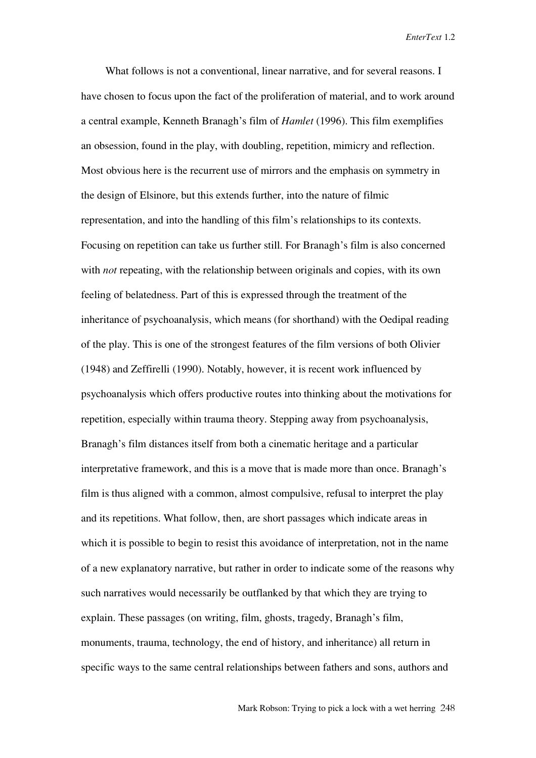What follows is not a conventional, linear narrative, and for several reasons. I have chosen to focus upon the fact of the proliferation of material, and to work around a central example, Kenneth Branagh's film of *Hamlet* (1996). This film exemplifies an obsession, found in the play, with doubling, repetition, mimicry and reflection. Most obvious here is the recurrent use of mirrors and the emphasis on symmetry in the design of Elsinore, but this extends further, into the nature of filmic representation, and into the handling of this film's relationships to its contexts. Focusing on repetition can take us further still. For Branagh's film is also concerned with *not* repeating, with the relationship between originals and copies, with its own feeling of belatedness. Part of this is expressed through the treatment of the inheritance of psychoanalysis, which means (for shorthand) with the Oedipal reading of the play. This is one of the strongest features of the film versions of both Olivier (1948) and Zeffirelli (1990). Notably, however, it is recent work influenced by psychoanalysis which offers productive routes into thinking about the motivations for repetition, especially within trauma theory. Stepping away from psychoanalysis, Branagh's film distances itself from both a cinematic heritage and a particular interpretative framework, and this is a move that is made more than once. Branagh's film is thus aligned with a common, almost compulsive, refusal to interpret the play and its repetitions. What follow, then, are short passages which indicate areas in which it is possible to begin to resist this avoidance of interpretation, not in the name of a new explanatory narrative, but rather in order to indicate some of the reasons why such narratives would necessarily be outflanked by that which they are trying to explain. These passages (on writing, film, ghosts, tragedy, Branagh's film, monuments, trauma, technology, the end of history, and inheritance) all return in specific ways to the same central relationships between fathers and sons, authors and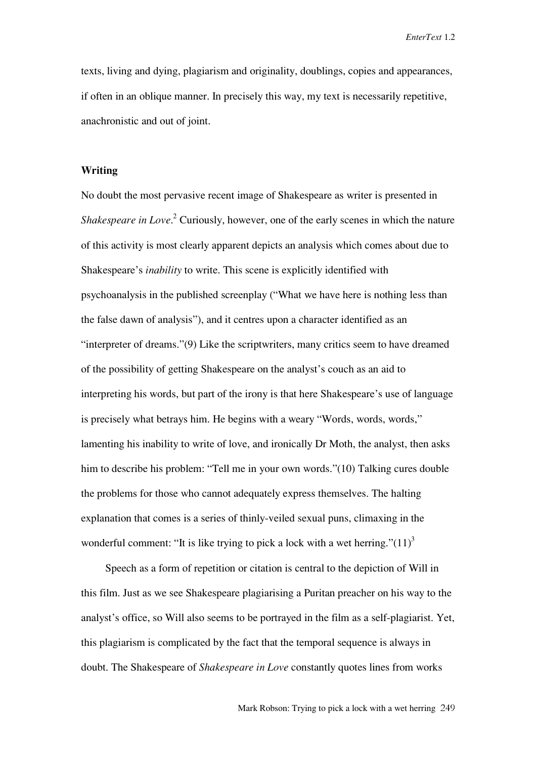texts, living and dying, plagiarism and originality, doublings, copies and appearances, if often in an oblique manner. In precisely this way, my text is necessarily repetitive, anachronistic and out of joint.

### **Writing**

No doubt the most pervasive recent image of Shakespeare as writer is presented in Shakespeare in Love.<sup>2</sup> Curiously, however, one of the early scenes in which the nature of this activity is most clearly apparent depicts an analysis which comes about due to Shakespeare's *inability* to write. This scene is explicitly identified with psychoanalysis in the published screenplay ("What we have here is nothing less than the false dawn of analysis"), and it centres upon a character identified as an "interpreter of dreams."(9) Like the scriptwriters, many critics seem to have dreamed of the possibility of getting Shakespeare on the analyst's couch as an aid to interpreting his words, but part of the irony is that here Shakespeare's use of language is precisely what betrays him. He begins with a weary "Words, words, words," lamenting his inability to write of love, and ironically Dr Moth, the analyst, then asks him to describe his problem: "Tell me in your own words."(10) Talking cures double the problems for those who cannot adequately express themselves. The halting explanation that comes is a series of thinly-veiled sexual puns, climaxing in the wonderful comment: "It is like trying to pick a lock with a wet herring." $(11)^3$ 

Speech as a form of repetition or citation is central to the depiction of Will in this film. Just as we see Shakespeare plagiarising a Puritan preacher on his way to the analyst's office, so Will also seems to be portrayed in the film as a self-plagiarist. Yet, this plagiarism is complicated by the fact that the temporal sequence is always in doubt. The Shakespeare of *Shakespeare in Love* constantly quotes lines from works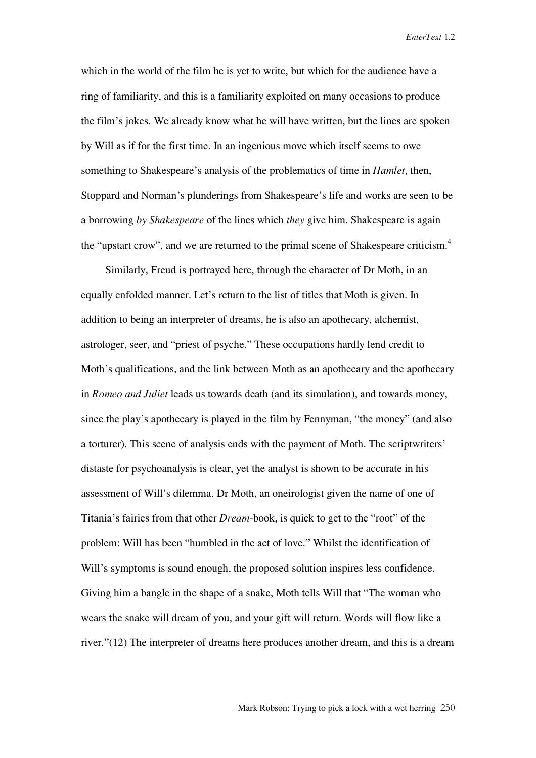which in the world of the film he is yet to write, but which for the audience have a ring of familiarity, and this is a familiarity exploited on many occasions to produce the film's jokes. We already know what he will have written, but the lines are spoken by Will as if for the first time. In an ingenious move which itself seems to owe something to Shakespeare's analysis of the problematics of time in *Hamlet*, then, Stoppard and Norman's plunderings from Shakespeare's life and works are seen to be a borrowing *by Shakespeare* of the lines which *they* give him. Shakespeare is again the "upstart crow", and we are returned to the primal scene of Shakespeare criticism.<sup>4</sup>

Similarly, Freud is portrayed here, through the character of Dr Moth, in an equally enfolded manner. Let's return to the list of titles that Moth is given. In addition to being an interpreter of dreams, he is also an apothecary, alchemist, astrologer, seer, and "priest of psyche." These occupations hardly lend credit to Moth's qualifications, and the link between Moth as an apothecary and the apothecary in *Romeo and Juliet* leads us towards death (and its simulation), and towards money, since the play's apothecary is played in the film by Fennyman, "the money" (and also a torturer). This scene of analysis ends with the payment of Moth. The scriptwriters' distaste for psychoanalysis is clear, yet the analyst is shown to be accurate in his assessment of Will's dilemma. Dr Moth, an oneirologist given the name of one of Titania's fairies from that other *Dream*-book, is quick to get to the "root" of the problem: Will has been "humbled in the act of love." Whilst the identification of Will's symptoms is sound enough, the proposed solution inspires less confidence. Giving him a bangle in the shape of a snake, Moth tells Will that "The woman who wears the snake will dream of you, and your gift will return. Words will flow like a river."(12) The interpreter of dreams here produces another dream, and this is a dream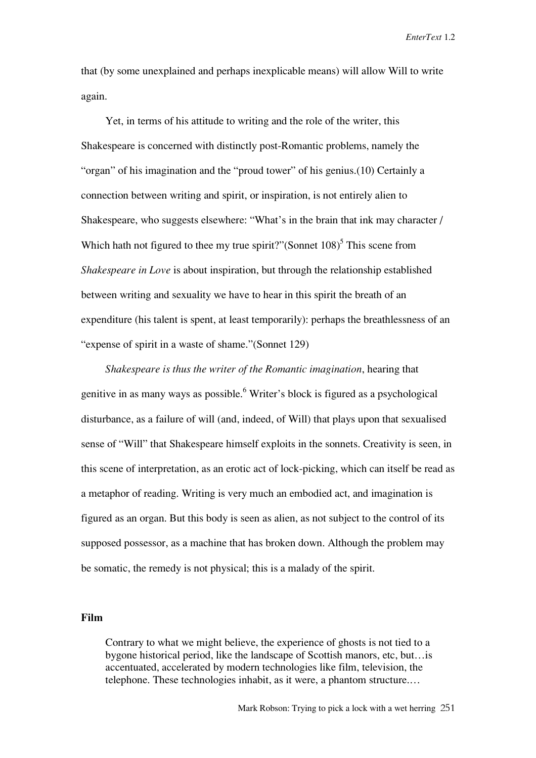that (by some unexplained and perhaps inexplicable means) will allow Will to write again.

Yet, in terms of his attitude to writing and the role of the writer, this Shakespeare is concerned with distinctly post-Romantic problems, namely the "organ" of his imagination and the "proud tower" of his genius.(10) Certainly a connection between writing and spirit, or inspiration, is not entirely alien to Shakespeare, who suggests elsewhere: "What's in the brain that ink may character / Which hath not figured to thee my true spirit?"(Sonnet  $108$ )<sup>5</sup> This scene from *Shakespeare in Love* is about inspiration, but through the relationship established between writing and sexuality we have to hear in this spirit the breath of an expenditure (his talent is spent, at least temporarily): perhaps the breathlessness of an "expense of spirit in a waste of shame."(Sonnet 129)

*Shakespeare is thus the writer of the Romantic imagination*, hearing that genitive in as many ways as possible.<sup>6</sup> Writer's block is figured as a psychological disturbance, as a failure of will (and, indeed, of Will) that plays upon that sexualised sense of "Will" that Shakespeare himself exploits in the sonnets. Creativity is seen, in this scene of interpretation, as an erotic act of lock-picking, which can itself be read as a metaphor of reading. Writing is very much an embodied act, and imagination is figured as an organ. But this body is seen as alien, as not subject to the control of its supposed possessor, as a machine that has broken down. Although the problem may be somatic, the remedy is not physical; this is a malady of the spirit.

## **Film**

Contrary to what we might believe, the experience of ghosts is not tied to a bygone historical period, like the landscape of Scottish manors, etc, but…is accentuated, accelerated by modern technologies like film, television, the telephone. These technologies inhabit, as it were, a phantom structure.…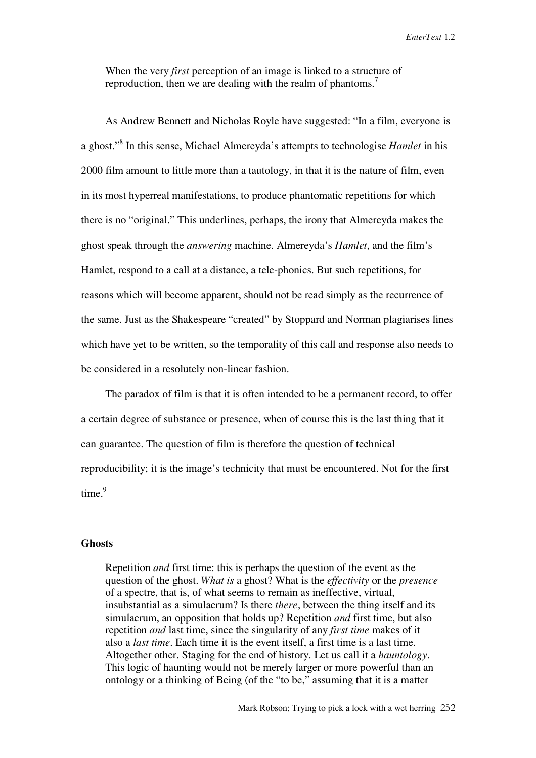When the very *first* perception of an image is linked to a structure of reproduction, then we are dealing with the realm of phantoms.<sup>7</sup>

As Andrew Bennett and Nicholas Royle have suggested: "In a film, everyone is a ghost."8 In this sense, Michael Almereyda's attempts to technologise *Hamlet* in his 2000 film amount to little more than a tautology, in that it is the nature of film, even in its most hyperreal manifestations, to produce phantomatic repetitions for which there is no "original." This underlines, perhaps, the irony that Almereyda makes the ghost speak through the *answering* machine. Almereyda's *Hamlet*, and the film's Hamlet, respond to a call at a distance, a tele-phonics. But such repetitions, for reasons which will become apparent, should not be read simply as the recurrence of the same. Just as the Shakespeare "created" by Stoppard and Norman plagiarises lines which have yet to be written, so the temporality of this call and response also needs to be considered in a resolutely non-linear fashion.

The paradox of film is that it is often intended to be a permanent record, to offer a certain degree of substance or presence, when of course this is the last thing that it can guarantee. The question of film is therefore the question of technical reproducibility; it is the image's technicity that must be encountered. Not for the first  $time<sup>9</sup>$ 

#### **Ghosts**

Repetition *and* first time: this is perhaps the question of the event as the question of the ghost. *What is* a ghost? What is the *effectivity* or the *presence* of a spectre, that is, of what seems to remain as ineffective, virtual, insubstantial as a simulacrum? Is there *there*, between the thing itself and its simulacrum, an opposition that holds up? Repetition *and* first time, but also repetition *and* last time, since the singularity of any *first time* makes of it also a *last time*. Each time it is the event itself, a first time is a last time. Altogether other. Staging for the end of history. Let us call it a *hauntology*. This logic of haunting would not be merely larger or more powerful than an ontology or a thinking of Being (of the "to be," assuming that it is a matter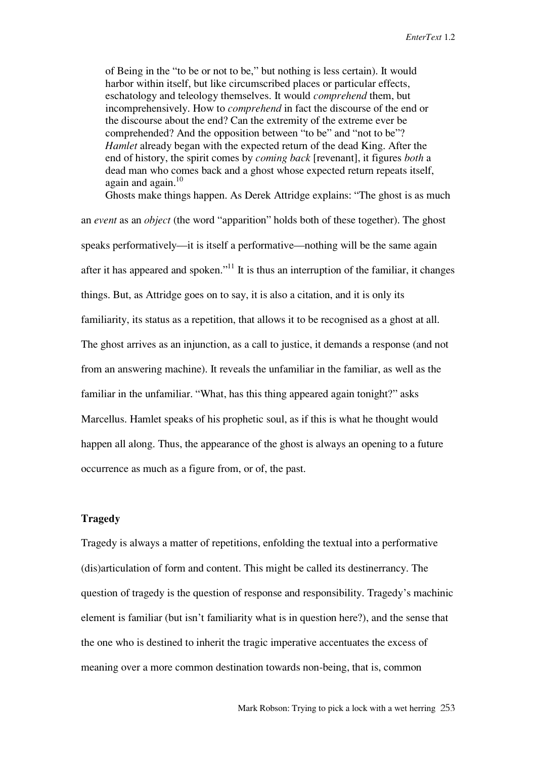of Being in the "to be or not to be," but nothing is less certain). It would harbor within itself, but like circumscribed places or particular effects, eschatology and teleology themselves. It would *comprehend* them, but incomprehensively. How to *comprehend* in fact the discourse of the end or the discourse about the end? Can the extremity of the extreme ever be comprehended? And the opposition between "to be" and "not to be"? *Hamlet* already began with the expected return of the dead King. After the end of history, the spirit comes by *coming back* [revenant], it figures *both* a dead man who comes back and a ghost whose expected return repeats itself, again and again. $10$ 

Ghosts make things happen. As Derek Attridge explains: "The ghost is as much an *event* as an *object* (the word "apparition" holds both of these together). The ghost speaks performatively—it is itself a performative—nothing will be the same again after it has appeared and spoken."<sup>11</sup> It is thus an interruption of the familiar, it changes things. But, as Attridge goes on to say, it is also a citation, and it is only its familiarity, its status as a repetition, that allows it to be recognised as a ghost at all. The ghost arrives as an injunction, as a call to justice, it demands a response (and not from an answering machine). It reveals the unfamiliar in the familiar, as well as the familiar in the unfamiliar. "What, has this thing appeared again tonight?" asks Marcellus. Hamlet speaks of his prophetic soul, as if this is what he thought would happen all along. Thus, the appearance of the ghost is always an opening to a future occurrence as much as a figure from, or of, the past.

## **Tragedy**

Tragedy is always a matter of repetitions, enfolding the textual into a performative (dis)articulation of form and content. This might be called its destinerrancy. The question of tragedy is the question of response and responsibility. Tragedy's machinic element is familiar (but isn't familiarity what is in question here?), and the sense that the one who is destined to inherit the tragic imperative accentuates the excess of meaning over a more common destination towards non-being, that is, common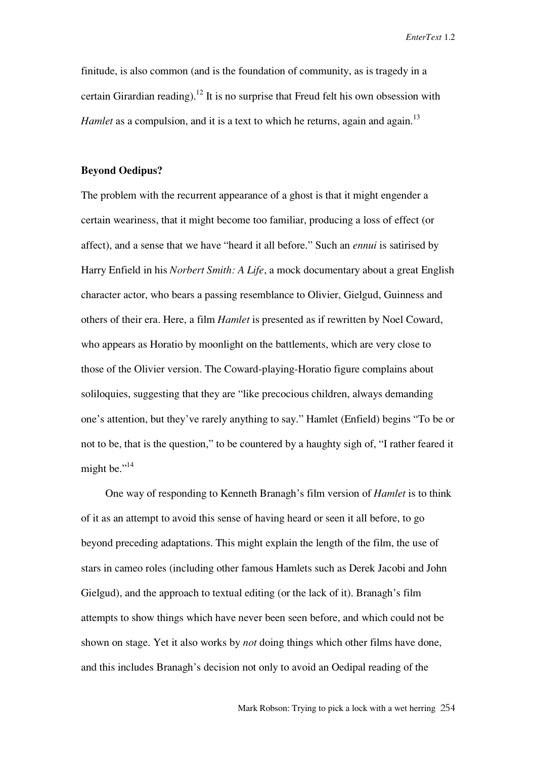finitude, is also common (and is the foundation of community, as is tragedy in a certain Girardian reading).<sup>12</sup> It is no surprise that Freud felt his own obsession with *Hamlet* as a compulsion, and it is a text to which he returns, again and again.<sup>13</sup>

## **Beyond Oedipus?**

The problem with the recurrent appearance of a ghost is that it might engender a certain weariness, that it might become too familiar, producing a loss of effect (or affect), and a sense that we have "heard it all before." Such an *ennui* is satirised by Harry Enfield in his *Norbert Smith: A Life*, a mock documentary about a great English character actor, who bears a passing resemblance to Olivier, Gielgud, Guinness and others of their era. Here, a film *Hamlet* is presented as if rewritten by Noel Coward, who appears as Horatio by moonlight on the battlements, which are very close to those of the Olivier version. The Coward-playing-Horatio figure complains about soliloquies, suggesting that they are "like precocious children, always demanding one's attention, but they've rarely anything to say." Hamlet (Enfield) begins "To be or not to be, that is the question," to be countered by a haughty sigh of, "I rather feared it might be."<sup>14</sup>

One way of responding to Kenneth Branagh's film version of *Hamlet* is to think of it as an attempt to avoid this sense of having heard or seen it all before, to go beyond preceding adaptations. This might explain the length of the film, the use of stars in cameo roles (including other famous Hamlets such as Derek Jacobi and John Gielgud), and the approach to textual editing (or the lack of it). Branagh's film attempts to show things which have never been seen before, and which could not be shown on stage. Yet it also works by *not* doing things which other films have done, and this includes Branagh's decision not only to avoid an Oedipal reading of the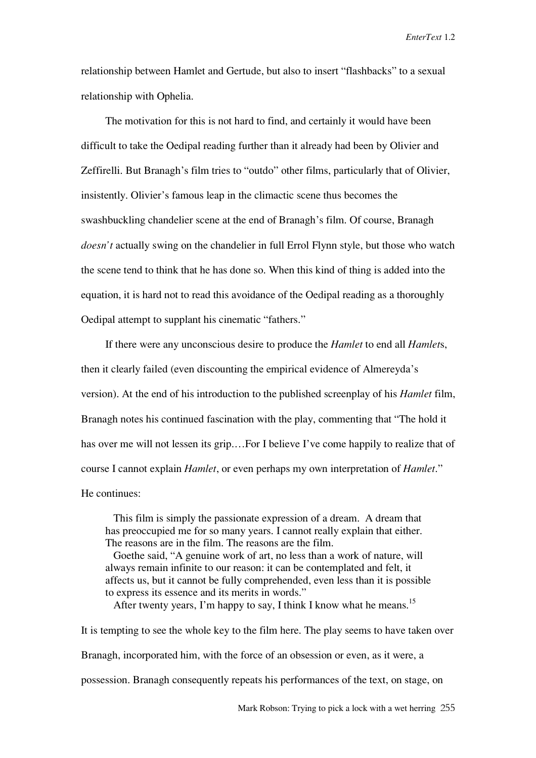relationship between Hamlet and Gertude, but also to insert "flashbacks" to a sexual relationship with Ophelia.

The motivation for this is not hard to find, and certainly it would have been difficult to take the Oedipal reading further than it already had been by Olivier and Zeffirelli. But Branagh's film tries to "outdo" other films, particularly that of Olivier, insistently. Olivier's famous leap in the climactic scene thus becomes the swashbuckling chandelier scene at the end of Branagh's film. Of course, Branagh *doesn't* actually swing on the chandelier in full Errol Flynn style, but those who watch the scene tend to think that he has done so. When this kind of thing is added into the equation, it is hard not to read this avoidance of the Oedipal reading as a thoroughly Oedipal attempt to supplant his cinematic "fathers."

If there were any unconscious desire to produce the *Hamlet* to end all *Hamlet*s, then it clearly failed (even discounting the empirical evidence of Almereyda's version). At the end of his introduction to the published screenplay of his *Hamlet* film, Branagh notes his continued fascination with the play, commenting that "The hold it has over me will not lessen its grip....For I believe I've come happily to realize that of course I cannot explain *Hamlet*, or even perhaps my own interpretation of *Hamlet*." He continues:

This film is simply the passionate expression of a dream. A dream that has preoccupied me for so many years. I cannot really explain that either. The reasons are in the film. The reasons are the film.

Goethe said, "A genuine work of art, no less than a work of nature, will always remain infinite to our reason: it can be contemplated and felt, it affects us, but it cannot be fully comprehended, even less than it is possible to express its essence and its merits in words."

After twenty years, I'm happy to say, I think I know what he means.<sup>15</sup>

It is tempting to see the whole key to the film here. The play seems to have taken over Branagh, incorporated him, with the force of an obsession or even, as it were, a possession. Branagh consequently repeats his performances of the text, on stage, on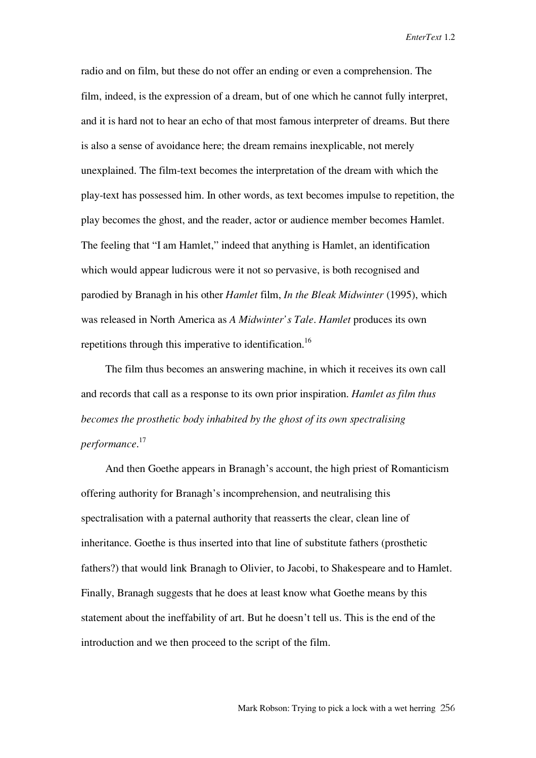radio and on film, but these do not offer an ending or even a comprehension. The film, indeed, is the expression of a dream, but of one which he cannot fully interpret, and it is hard not to hear an echo of that most famous interpreter of dreams. But there is also a sense of avoidance here; the dream remains inexplicable, not merely unexplained. The film-text becomes the interpretation of the dream with which the play-text has possessed him. In other words, as text becomes impulse to repetition, the play becomes the ghost, and the reader, actor or audience member becomes Hamlet. The feeling that "I am Hamlet," indeed that anything is Hamlet, an identification which would appear ludicrous were it not so pervasive, is both recognised and parodied by Branagh in his other *Hamlet* film, *In the Bleak Midwinter* (1995), which was released in North America as *A Midwinter's Tale*. *Hamlet* produces its own repetitions through this imperative to identification.<sup>16</sup>

The film thus becomes an answering machine, in which it receives its own call and records that call as a response to its own prior inspiration. *Hamlet as film thus becomes the prosthetic body inhabited by the ghost of its own spectralising performance*. 17

And then Goethe appears in Branagh's account, the high priest of Romanticism offering authority for Branagh's incomprehension, and neutralising this spectralisation with a paternal authority that reasserts the clear, clean line of inheritance. Goethe is thus inserted into that line of substitute fathers (prosthetic fathers?) that would link Branagh to Olivier, to Jacobi, to Shakespeare and to Hamlet. Finally, Branagh suggests that he does at least know what Goethe means by this statement about the ineffability of art. But he doesn't tell us. This is the end of the introduction and we then proceed to the script of the film.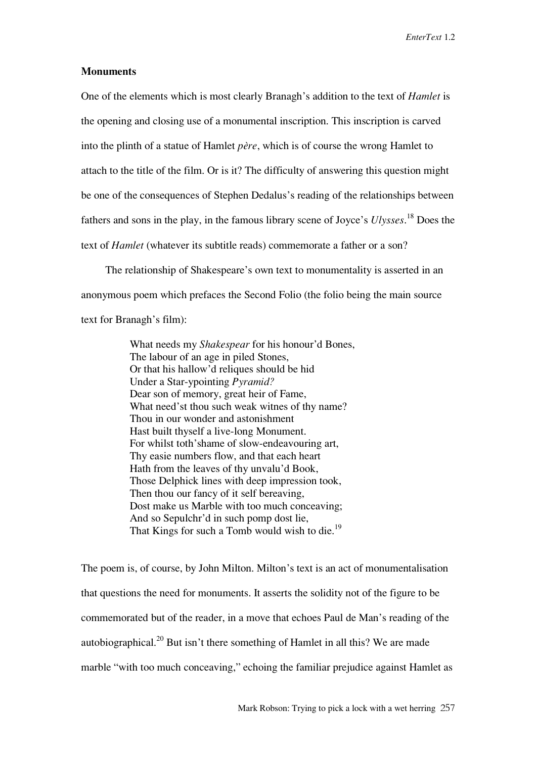## **Monuments**

One of the elements which is most clearly Branagh's addition to the text of *Hamlet* is the opening and closing use of a monumental inscription. This inscription is carved into the plinth of a statue of Hamlet *père*, which is of course the wrong Hamlet to attach to the title of the film. Or is it? The difficulty of answering this question might be one of the consequences of Stephen Dedalus's reading of the relationships between fathers and sons in the play, in the famous library scene of Joyce's *Ulysses*. <sup>18</sup> Does the text of *Hamlet* (whatever its subtitle reads) commemorate a father or a son?

The relationship of Shakespeare's own text to monumentality is asserted in an anonymous poem which prefaces the Second Folio (the folio being the main source text for Branagh's film):

> What needs my *Shakespear* for his honour'd Bones, The labour of an age in piled Stones, Or that his hallow'd reliques should be hid Under a Star-ypointing *Pyramid?* Dear son of memory, great heir of Fame, What need'st thou such weak witnes of thy name? Thou in our wonder and astonishment Hast built thyself a live-long Monument. For whilst toth'shame of slow-endeavouring art, Thy easie numbers flow, and that each heart Hath from the leaves of thy unvalu'd Book, Those Delphick lines with deep impression took, Then thou our fancy of it self bereaving, Dost make us Marble with too much conceaving; And so Sepulchr'd in such pomp dost lie, That Kings for such a Tomb would wish to die.<sup>19</sup>

The poem is, of course, by John Milton. Milton's text is an act of monumentalisation that questions the need for monuments. It asserts the solidity not of the figure to be commemorated but of the reader, in a move that echoes Paul de Man's reading of the autobiographical.<sup>20</sup> But isn't there something of Hamlet in all this? We are made marble "with too much conceaving," echoing the familiar prejudice against Hamlet as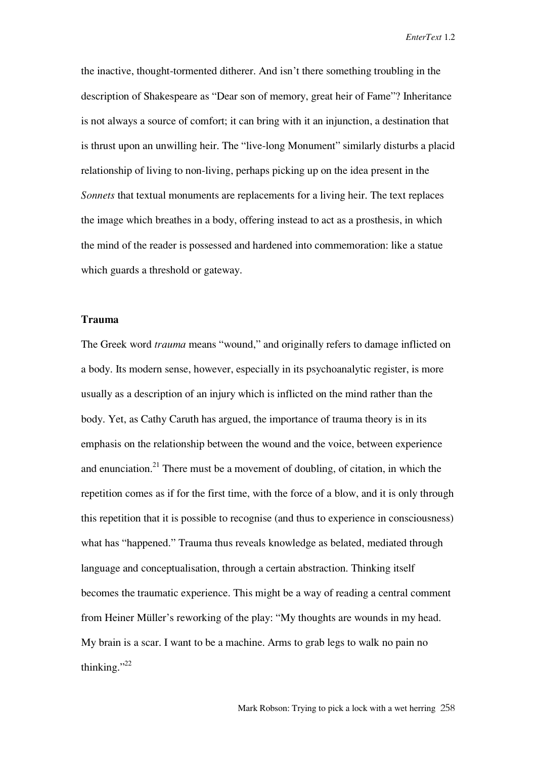the inactive, thought-tormented ditherer. And isn't there something troubling in the description of Shakespeare as "Dear son of memory, great heir of Fame"? Inheritance is not always a source of comfort; it can bring with it an injunction, a destination that is thrust upon an unwilling heir. The "live-long Monument" similarly disturbs a placid relationship of living to non-living, perhaps picking up on the idea present in the *Sonnets* that textual monuments are replacements for a living heir. The text replaces the image which breathes in a body, offering instead to act as a prosthesis, in which the mind of the reader is possessed and hardened into commemoration: like a statue which guards a threshold or gateway.

# **Trauma**

The Greek word *trauma* means "wound," and originally refers to damage inflicted on a body. Its modern sense, however, especially in its psychoanalytic register, is more usually as a description of an injury which is inflicted on the mind rather than the body. Yet, as Cathy Caruth has argued, the importance of trauma theory is in its emphasis on the relationship between the wound and the voice, between experience and enunciation.<sup>21</sup> There must be a movement of doubling, of citation, in which the repetition comes as if for the first time, with the force of a blow, and it is only through this repetition that it is possible to recognise (and thus to experience in consciousness) what has "happened." Trauma thus reveals knowledge as belated, mediated through language and conceptualisation, through a certain abstraction. Thinking itself becomes the traumatic experience. This might be a way of reading a central comment from Heiner Müller's reworking of the play: "My thoughts are wounds in my head. My brain is a scar. I want to be a machine. Arms to grab legs to walk no pain no thinking."<sup>22</sup>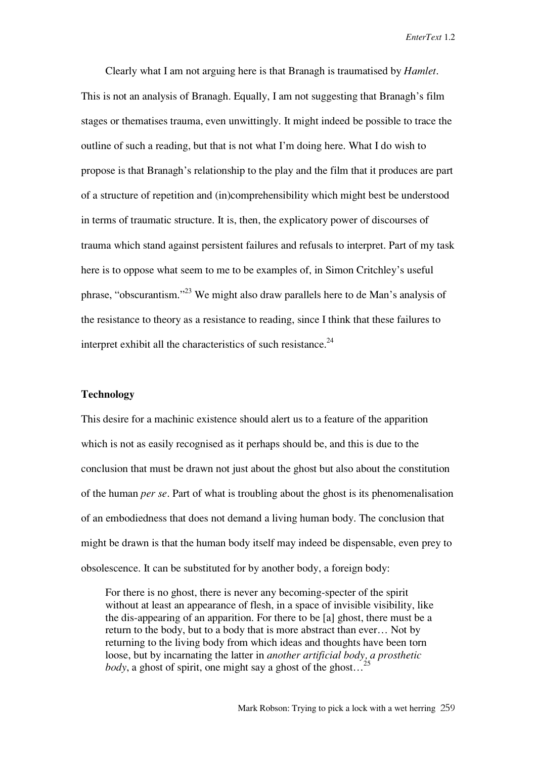Clearly what I am not arguing here is that Branagh is traumatised by *Hamlet*. This is not an analysis of Branagh. Equally, I am not suggesting that Branagh's film stages or thematises trauma, even unwittingly. It might indeed be possible to trace the outline of such a reading, but that is not what I'm doing here. What I do wish to propose is that Branagh's relationship to the play and the film that it produces are part of a structure of repetition and (in)comprehensibility which might best be understood in terms of traumatic structure. It is, then, the explicatory power of discourses of trauma which stand against persistent failures and refusals to interpret. Part of my task here is to oppose what seem to me to be examples of, in Simon Critchley's useful phrase, "obscurantism."23 We might also draw parallels here to de Man's analysis of the resistance to theory as a resistance to reading, since I think that these failures to interpret exhibit all the characteristics of such resistance. $^{24}$ 

#### **Technology**

This desire for a machinic existence should alert us to a feature of the apparition which is not as easily recognised as it perhaps should be, and this is due to the conclusion that must be drawn not just about the ghost but also about the constitution of the human *per se*. Part of what is troubling about the ghost is its phenomenalisation of an embodiedness that does not demand a living human body. The conclusion that might be drawn is that the human body itself may indeed be dispensable, even prey to obsolescence. It can be substituted for by another body, a foreign body:

For there is no ghost, there is never any becoming-specter of the spirit without at least an appearance of flesh, in a space of invisible visibility, like the dis-appearing of an apparition. For there to be [a] ghost, there must be a return to the body, but to a body that is more abstract than ever… Not by returning to the living body from which ideas and thoughts have been torn loose, but by incarnating the latter in *another artificial body, a prosthetic body*, a ghost of spirit, one might say a ghost of the ghost...<sup>2</sup>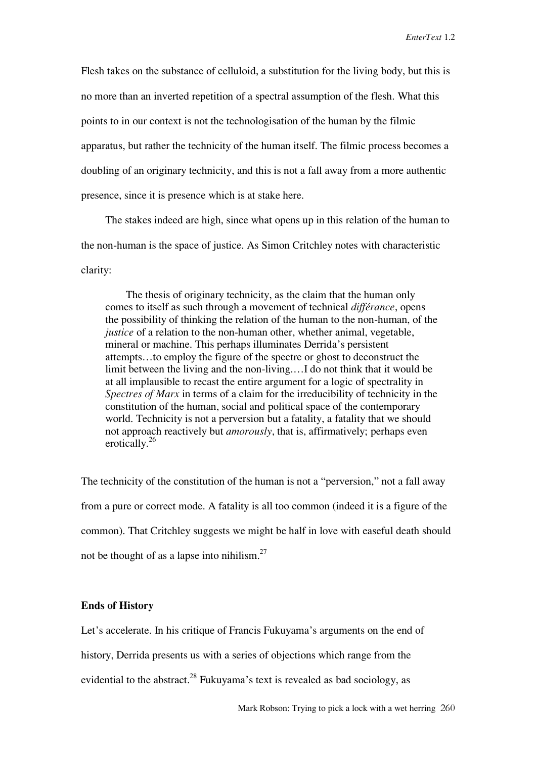Flesh takes on the substance of celluloid, a substitution for the living body, but this is no more than an inverted repetition of a spectral assumption of the flesh. What this points to in our context is not the technologisation of the human by the filmic apparatus, but rather the technicity of the human itself. The filmic process becomes a doubling of an originary technicity, and this is not a fall away from a more authentic presence, since it is presence which is at stake here.

The stakes indeed are high, since what opens up in this relation of the human to the non-human is the space of justice. As Simon Critchley notes with characteristic clarity:

The thesis of originary technicity, as the claim that the human only comes to itself as such through a movement of technical *différance*, opens the possibility of thinking the relation of the human to the non-human, of the *justice* of a relation to the non-human other, whether animal, vegetable, mineral or machine. This perhaps illuminates Derrida's persistent attempts…to employ the figure of the spectre or ghost to deconstruct the limit between the living and the non-living.…I do not think that it would be at all implausible to recast the entire argument for a logic of spectrality in *Spectres of Marx* in terms of a claim for the irreducibility of technicity in the constitution of the human, social and political space of the contemporary world. Technicity is not a perversion but a fatality, a fatality that we should not approach reactively but *amorously*, that is, affirmatively; perhaps even erotically.<sup>26</sup>

The technicity of the constitution of the human is not a "perversion," not a fall away from a pure or correct mode. A fatality is all too common (indeed it is a figure of the common). That Critchley suggests we might be half in love with easeful death should not be thought of as a lapse into nihilism. $27$ 

### **Ends of History**

Let's accelerate. In his critique of Francis Fukuyama's arguments on the end of

history, Derrida presents us with a series of objections which range from the

evidential to the abstract.<sup>28</sup> Fukuyama's text is revealed as bad sociology, as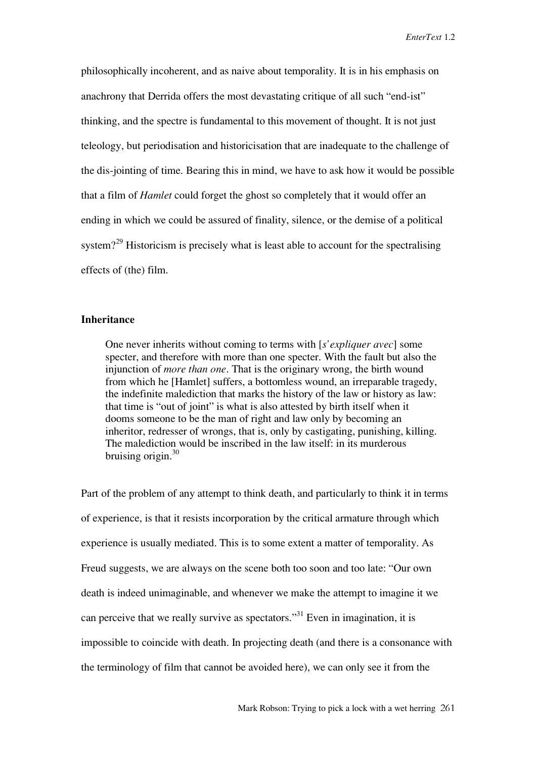philosophically incoherent, and as naive about temporality. It is in his emphasis on anachrony that Derrida offers the most devastating critique of all such "end-ist" thinking, and the spectre is fundamental to this movement of thought. It is not just teleology, but periodisation and historicisation that are inadequate to the challenge of the dis-jointing of time. Bearing this in mind, we have to ask how it would be possible that a film of *Hamlet* could forget the ghost so completely that it would offer an ending in which we could be assured of finality, silence, or the demise of a political system?<sup>29</sup> Historicism is precisely what is least able to account for the spectralising effects of (the) film.

## **Inheritance**

One never inherits without coming to terms with [*s'expliquer avec*] some specter, and therefore with more than one specter. With the fault but also the injunction of *more than one*. That is the originary wrong, the birth wound from which he [Hamlet] suffers, a bottomless wound, an irreparable tragedy, the indefinite malediction that marks the history of the law or history as law: that time is "out of joint" is what is also attested by birth itself when it dooms someone to be the man of right and law only by becoming an inheritor, redresser of wrongs, that is, only by castigating, punishing, killing. The malediction would be inscribed in the law itself: in its murderous bruising origin. $30$ 

Part of the problem of any attempt to think death, and particularly to think it in terms of experience, is that it resists incorporation by the critical armature through which experience is usually mediated. This is to some extent a matter of temporality. As Freud suggests, we are always on the scene both too soon and too late: "Our own death is indeed unimaginable, and whenever we make the attempt to imagine it we can perceive that we really survive as spectators."<sup>31</sup> Even in imagination, it is impossible to coincide with death. In projecting death (and there is a consonance with the terminology of film that cannot be avoided here), we can only see it from the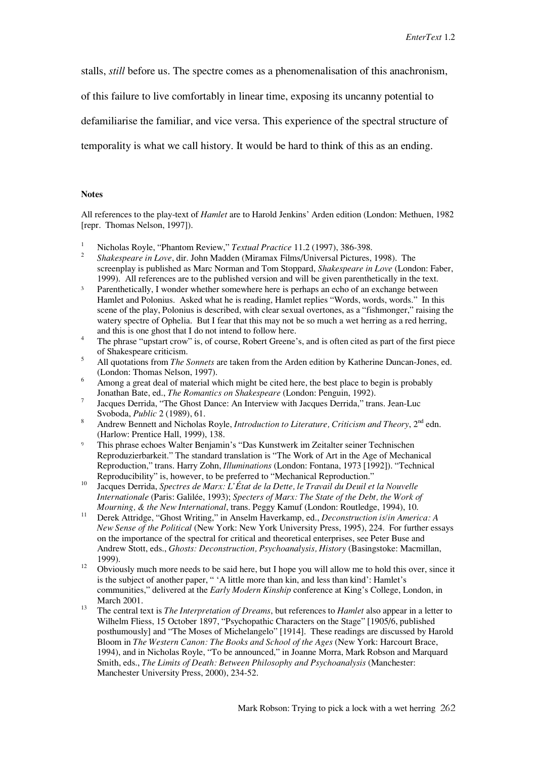stalls, *still* before us. The spectre comes as a phenomenalisation of this anachronism,

of this failure to live comfortably in linear time, exposing its uncanny potential to

defamiliarise the familiar, and vice versa. This experience of the spectral structure of

temporality is what we call history. It would be hard to think of this as an ending.

#### **Notes**

All references to the play-text of *Hamlet* are to Harold Jenkins' Arden edition (London: Methuen, 1982 [repr. Thomas Nelson, 1997]).

- 
- <sup>1</sup> Nicholas Royle, "Phantom Review," *Textual Practice* 11.2 (1997), 386-398.<br><sup>2</sup> *Shakespeare in Love*, dir. John Madden (Miramax Films/Universal Pictures, 1998). The screenplay is published as Marc Norman and Tom Stoppard, *Shakespeare in Love* (London: Faber, 1999). All references are to the published version and will be given parenthetically in the text.
- <sup>3</sup> Parenthetically, I wonder whether somewhere here is perhaps an echo of an exchange between Hamlet and Polonius. Asked what he is reading, Hamlet replies "Words, words, words." In this scene of the play, Polonius is described, with clear sexual overtones, as a "fishmonger," raising the watery spectre of Ophelia. But I fear that this may not be so much a wet herring as a red herring, and this is one ghost that I do not intend to follow here.<br><sup>4</sup> The phrase "upstart crow" is, of course, Robert Greene's, and is often cited as part of the first piece
- of Shakespeare criticism.
- <sup>5</sup> All quotations from *The Sonnets* are taken from the Arden edition by Katherine Duncan-Jones, ed. (London: Thomas Nelson, 1997).
- <sup>6</sup> Among a great deal of material which might be cited here, the best place to begin is probably Jonathan Bate, ed., *The Romantics on Shakespeare* (London: Penguin, 1992). <sup>7</sup>
- Jacques Derrida, "The Ghost Dance: An Interview with Jacques Derrida," trans. Jean-Luc Svoboda, *Public* 2 (1989), 61.
- Andrew Bennett and Nicholas Royle, *Introduction to Literature, Criticism and Theory*, 2<sup>nd</sup> edn. (Harlow: Prentice Hall, 1999), 138.
- - This phrase echoes Walter Benjamin's "Das Kunstwerk im Zeitalter seiner Technischen Reproduzierbarkeit." The standard translation is "The Work of Art in the Age of Mechanical Reproduction," trans. Harry Zohn, *Illuminations* (London: Fontana, 1973 [1992]). "Technical
- Reproducibility" is, however, to be preferred to "Mechanical Reproduction." 10 Jacques Derrida, *Spectres de Marx: L'État de la Dette, le Travail du Deuil et la Nouvelle Internationale* (Paris: Galilée, 1993); *Specters of Marx: The State of the Debt, the Work of*
- *Mourning, & the New International*, trans. Peggy Kamuf (London: Routledge, 1994), 10.<br><sup>11</sup> Derek Attridge, "Ghost Writing," in Anselm Haverkamp, ed., *Deconstruction is/in America: A New Sense of the Political* (New York: New York University Press, 1995), 224. For further essays on the importance of the spectral for critical and theoretical enterprises, see Peter Buse and Andrew Stott, eds., *Ghosts: Deconstruction, Psychoanalysis, History* (Basingstoke: Macmillan,
- 1999).<br><sup>12</sup> Obviously much more needs to be said here, but I hope you will allow me to hold this over, since it is the subject of another paper, " 'A little more than kin, and less than kind': Hamlet's communities," delivered at the *Early Modern Kinship* conference at King's College, London, in
- March 2001.<br><sup>13</sup> The central text is *The Interpretation of Dreams*, but references to *Hamlet* also appear in a letter to Wilhelm Fliess, 15 October 1897, "Psychopathic Characters on the Stage" [1905/6, published posthumously] and "The Moses of Michelangelo" [1914]. These readings are discussed by Harold Bloom in *The Western Canon: The Books and School of the Ages* (New York: Harcourt Brace, 1994), and in Nicholas Royle, "To be announced," in Joanne Morra, Mark Robson and Marquard Smith, eds., *The Limits of Death: Between Philosophy and Psychoanalysis* (Manchester: Manchester University Press, 2000), 234-52.